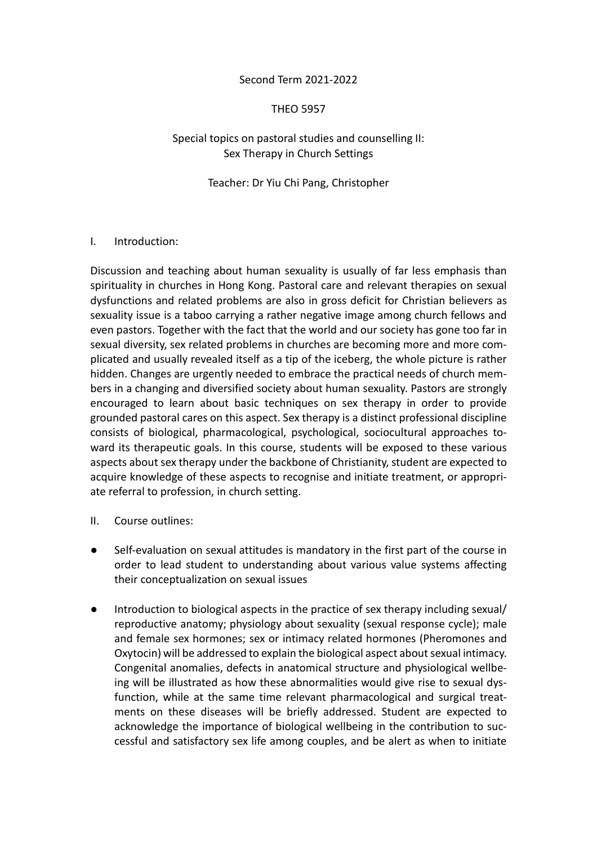### Second Term 2021-2022

### THEO 5957

### Special topics on pastoral studies and counselling II: Sex Therapy in Church Settings

### Teacher: Dr Yiu Chi Pang, Christopher

#### I. Introduction:

Discussion and teaching about human sexuality is usually of far less emphasis than spirituality in churches in Hong Kong. Pastoral care and relevant therapies on sexual dysfunctions and related problems are also in gross deficit for Christian believers as sexuality issue is a taboo carrying a rather negative image among church fellows and even pastors. Together with the fact that the world and our society has gone too far in sexual diversity, sex related problems in churches are becoming more and more complicated and usually revealed itself as a tip of the iceberg, the whole picture is rather hidden. Changes are urgently needed to embrace the practical needs of church members in a changing and diversified society about human sexuality. Pastors are strongly encouraged to learn about basic techniques on sex therapy in order to provide grounded pastoral cares on this aspect. Sex therapy is a distinct professional discipline consists of biological, pharmacological, psychological, sociocultural approaches toward its therapeutic goals. In this course, students will be exposed to these various aspects about sex therapy under the backbone of Christianity, student are expected to acquire knowledge of these aspects to recognise and initiate treatment, or appropriate referral to profession, in church setting.

- II. Course outlines:
- Self-evaluation on sexual attitudes is mandatory in the first part of the course in order to lead student to understanding about various value systems affecting their conceptualization on sexual issues
- Introduction to biological aspects in the practice of sex therapy including sexual/ reproductive anatomy; physiology about sexuality (sexual response cycle); male and female sex hormones; sex or intimacy related hormones (Pheromones and Oxytocin) will be addressed to explain the biological aspect about sexual intimacy. Congenital anomalies, defects in anatomical structure and physiological wellbeing will be illustrated as how these abnormalities would give rise to sexual dysfunction, while at the same time relevant pharmacological and surgical treatments on these diseases will be briefly addressed. Student are expected to acknowledge the importance of biological wellbeing in the contribution to successful and satisfactory sex life among couples, and be alert as when to initiate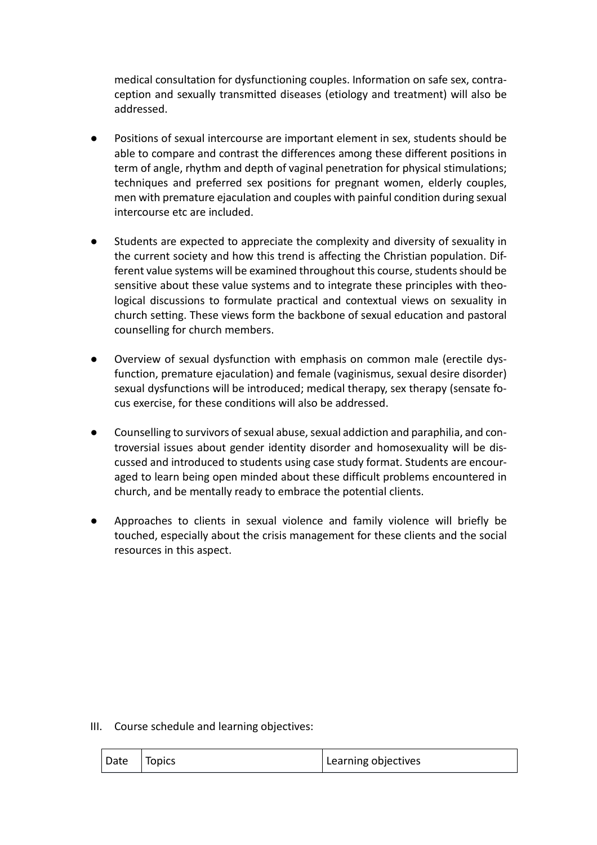medical consultation for dysfunctioning couples. Information on safe sex, contraception and sexually transmitted diseases (etiology and treatment) will also be addressed.

- Positions of sexual intercourse are important element in sex, students should be able to compare and contrast the differences among these different positions in term of angle, rhythm and depth of vaginal penetration for physical stimulations; techniques and preferred sex positions for pregnant women, elderly couples, men with premature ejaculation and couples with painful condition during sexual intercourse etc are included.
- Students are expected to appreciate the complexity and diversity of sexuality in the current society and how this trend is affecting the Christian population. Different value systems will be examined throughout this course, students should be sensitive about these value systems and to integrate these principles with theological discussions to formulate practical and contextual views on sexuality in church setting. These views form the backbone of sexual education and pastoral counselling for church members.
- Overview of sexual dysfunction with emphasis on common male (erectile dysfunction, premature ejaculation) and female (vaginismus, sexual desire disorder) sexual dysfunctions will be introduced; medical therapy, sex therapy (sensate focus exercise, for these conditions will also be addressed.
- Counselling to survivors of sexual abuse, sexual addiction and paraphilia, and controversial issues about gender identity disorder and homosexuality will be discussed and introduced to students using case study format. Students are encouraged to learn being open minded about these difficult problems encountered in church, and be mentally ready to embrace the potential clients.
- Approaches to clients in sexual violence and family violence will briefly be touched, especially about the crisis management for these clients and the social resources in this aspect.

### III. Course schedule and learning objectives:

| Date | Topics | Learning objectives |
|------|--------|---------------------|
|------|--------|---------------------|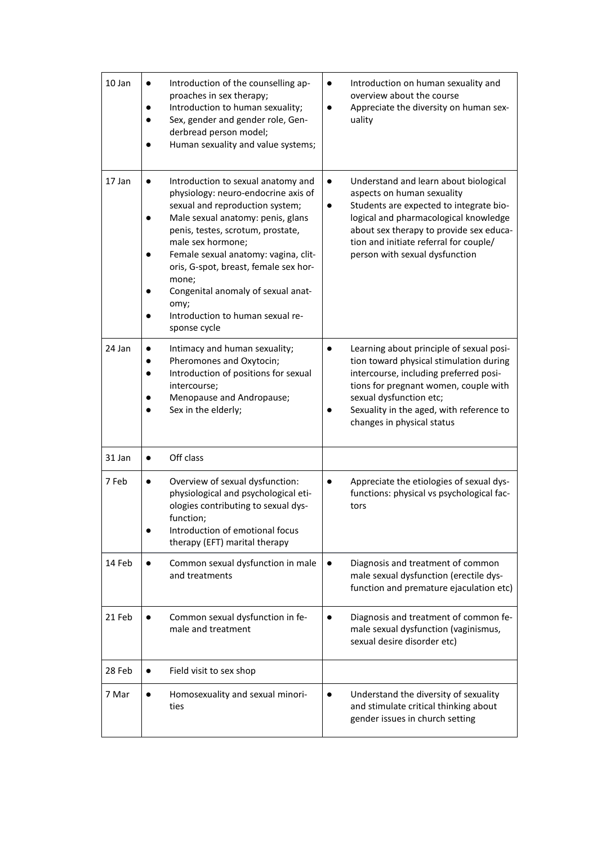| 10 Jan | Introduction of the counselling ap-<br>$\bullet$<br>proaches in sex therapy;<br>Introduction to human sexuality;<br>Sex, gender and gender role, Gen-<br>derbread person model;<br>Human sexuality and value systems;                                                                                                                                                                                                | Introduction on human sexuality and<br>$\bullet$<br>overview about the course<br>Appreciate the diversity on human sex-<br>uality                                                                                                                                                                        |
|--------|----------------------------------------------------------------------------------------------------------------------------------------------------------------------------------------------------------------------------------------------------------------------------------------------------------------------------------------------------------------------------------------------------------------------|----------------------------------------------------------------------------------------------------------------------------------------------------------------------------------------------------------------------------------------------------------------------------------------------------------|
| 17 Jan | Introduction to sexual anatomy and<br>$\bullet$<br>physiology: neuro-endocrine axis of<br>sexual and reproduction system;<br>Male sexual anatomy: penis, glans<br>penis, testes, scrotum, prostate,<br>male sex hormone;<br>Female sexual anatomy: vagina, clit-<br>oris, G-spot, breast, female sex hor-<br>mone;<br>Congenital anomaly of sexual anat-<br>omy;<br>Introduction to human sexual re-<br>sponse cycle | Understand and learn about biological<br>$\bullet$<br>aspects on human sexuality<br>Students are expected to integrate bio-<br>$\bullet$<br>logical and pharmacological knowledge<br>about sex therapy to provide sex educa-<br>tion and initiate referral for couple/<br>person with sexual dysfunction |
| 24 Jan | Intimacy and human sexuality;<br>Pheromones and Oxytocin;<br>Introduction of positions for sexual<br>intercourse;<br>Menopause and Andropause;<br>Sex in the elderly;                                                                                                                                                                                                                                                | Learning about principle of sexual posi-<br>tion toward physical stimulation during<br>intercourse, including preferred posi-<br>tions for pregnant women, couple with<br>sexual dysfunction etc;<br>Sexuality in the aged, with reference to<br>changes in physical status                              |
| 31 Jan | Off class<br>$\bullet$                                                                                                                                                                                                                                                                                                                                                                                               |                                                                                                                                                                                                                                                                                                          |
| 7 Feb  | Overview of sexual dysfunction:<br>$\bullet$<br>physiological and psychological eti-<br>ologies contributing to sexual dys-<br>function;<br>Introduction of emotional focus<br>therapy (EFT) marital therapy                                                                                                                                                                                                         | Appreciate the etiologies of sexual dys-<br>$\bullet$<br>functions: physical vs psychological fac-<br>tors                                                                                                                                                                                               |
| 14 Feb | Common sexual dysfunction in male<br>and treatments                                                                                                                                                                                                                                                                                                                                                                  | Diagnosis and treatment of common<br>$\bullet$<br>male sexual dysfunction (erectile dys-<br>function and premature ejaculation etc)                                                                                                                                                                      |
| 21 Feb | Common sexual dysfunction in fe-<br>male and treatment                                                                                                                                                                                                                                                                                                                                                               | Diagnosis and treatment of common fe-<br>$\bullet$<br>male sexual dysfunction (vaginismus,<br>sexual desire disorder etc)                                                                                                                                                                                |
| 28 Feb | Field visit to sex shop<br>$\bullet$                                                                                                                                                                                                                                                                                                                                                                                 |                                                                                                                                                                                                                                                                                                          |
| 7 Mar  | Homosexuality and sexual minori-<br>$\bullet$<br>ties                                                                                                                                                                                                                                                                                                                                                                | Understand the diversity of sexuality<br>$\bullet$<br>and stimulate critical thinking about<br>gender issues in church setting                                                                                                                                                                           |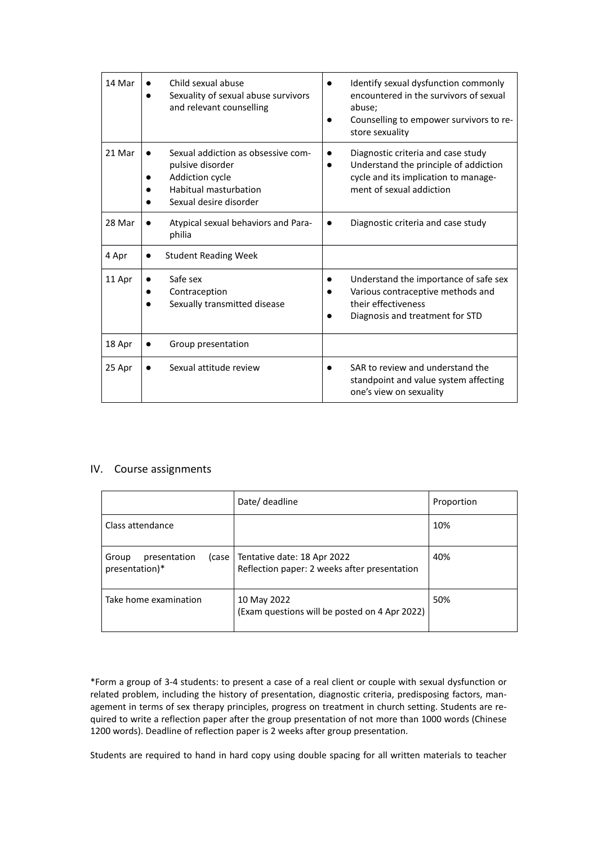| 14 Mar | Child sexual abuse<br>Sexuality of sexual abuse survivors<br>and relevant counselling                                        | Identify sexual dysfunction commonly<br>encountered in the survivors of sexual<br>abuse;<br>Counselling to empower survivors to re-<br>store sexuality |
|--------|------------------------------------------------------------------------------------------------------------------------------|--------------------------------------------------------------------------------------------------------------------------------------------------------|
| 21 Mar | Sexual addiction as obsessive com-<br>pulsive disorder<br>Addiction cycle<br>Habitual masturbation<br>Sexual desire disorder | Diagnostic criteria and case study<br>Understand the principle of addiction<br>cycle and its implication to manage-<br>ment of sexual addiction        |
| 28 Mar | Atypical sexual behaviors and Para-<br>philia                                                                                | Diagnostic criteria and case study                                                                                                                     |
| 4 Apr  | <b>Student Reading Week</b>                                                                                                  |                                                                                                                                                        |
| 11 Apr | Safe sex<br>Contraception<br>Sexually transmitted disease                                                                    | Understand the importance of safe sex<br>Various contraceptive methods and<br>their effectiveness<br>Diagnosis and treatment for STD                   |
| 18 Apr | Group presentation                                                                                                           |                                                                                                                                                        |
| 25 Apr | Sexual attitude review                                                                                                       | SAR to review and understand the<br>standpoint and value system affecting<br>one's view on sexuality                                                   |

#### IV. Course assignments

|                                         | Date/ deadline                                                                       | Proportion |
|-----------------------------------------|--------------------------------------------------------------------------------------|------------|
| Class attendance                        |                                                                                      | 10%        |
| presentation<br>Group<br>presentation)* | (case   Tentative date: 18 Apr 2022)<br>Reflection paper: 2 weeks after presentation | 40%        |
| Take home examination                   | 10 May 2022<br>(Exam questions will be posted on 4 Apr 2022)                         | 50%        |

\*Form a group of 3-4 students: to present a case of a real client or couple with sexual dysfunction or related problem, including the history of presentation, diagnostic criteria, predisposing factors, management in terms of sex therapy principles, progress on treatment in church setting. Students are required to write a reflection paper after the group presentation of not more than 1000 words (Chinese 1200 words). Deadline of reflection paper is 2 weeks after group presentation.

Students are required to hand in hard copy using double spacing for all written materials to teacher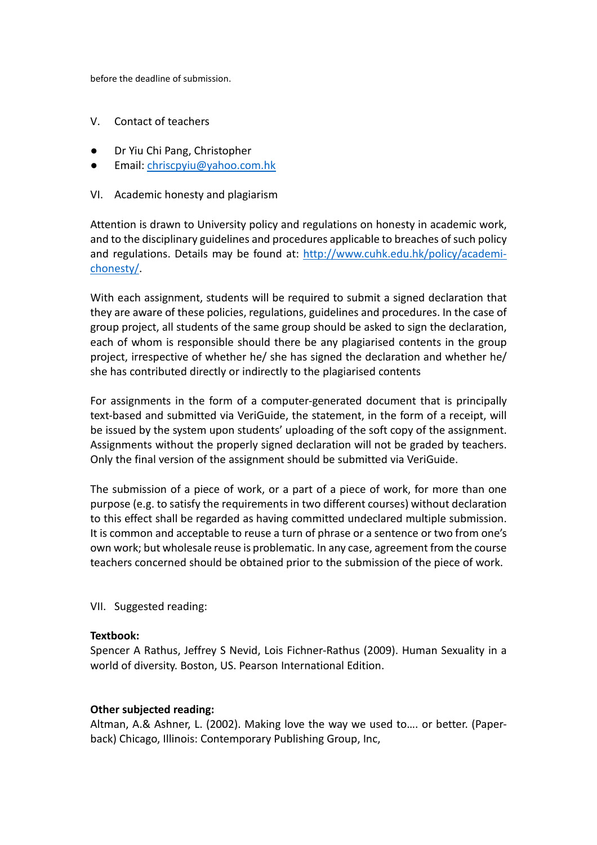before the deadline of submission.

- V. Contact of teachers
- Dr Yiu Chi Pang, Christopher
- Email: [chriscpyiu@yahoo.com.hk](mailto:chriscpyiu@yahoo.com.hk)
- VI. Academic honesty and plagiarism

Attention is drawn to University policy and regulations on honesty in academic work, and to the disciplinary guidelines and procedures applicable to breaches of such policy and regulations. Details may be found at: [http://www.cuhk.edu.hk/policy/academi](http://www.cuhk.edu.hk/policy/academichonesty/)[chonesty/.](http://www.cuhk.edu.hk/policy/academichonesty/)

With each assignment, students will be required to submit a signed declaration that they are aware of these policies, regulations, guidelines and procedures. In the case of group project, all students of the same group should be asked to sign the declaration, each of whom is responsible should there be any plagiarised contents in the group project, irrespective of whether he/ she has signed the declaration and whether he/ she has contributed directly or indirectly to the plagiarised contents

For assignments in the form of a computer-generated document that is principally text-based and submitted via VeriGuide, the statement, in the form of a receipt, will be issued by the system upon students' uploading of the soft copy of the assignment. Assignments without the properly signed declaration will not be graded by teachers. Only the final version of the assignment should be submitted via VeriGuide.

The submission of a piece of work, or a part of a piece of work, for more than one purpose (e.g. to satisfy the requirements in two different courses) without declaration to this effect shall be regarded as having committed undeclared multiple submission. It is common and acceptable to reuse a turn of phrase or a sentence or two from one's own work; but wholesale reuse is problematic. In any case, agreement from the course teachers concerned should be obtained prior to the submission of the piece of work.

VII. Suggested reading:

#### **Textbook:**

Spencer A Rathus, Jeffrey S Nevid, Lois Fichner-Rathus (2009). Human Sexuality in a world of diversity. Boston, US. Pearson International Edition.

#### **Other subjected reading:**

Altman, A.& Ashner, L. (2002). Making love the way we used to…. or better. (Paperback) Chicago, Illinois: Contemporary Publishing Group, Inc,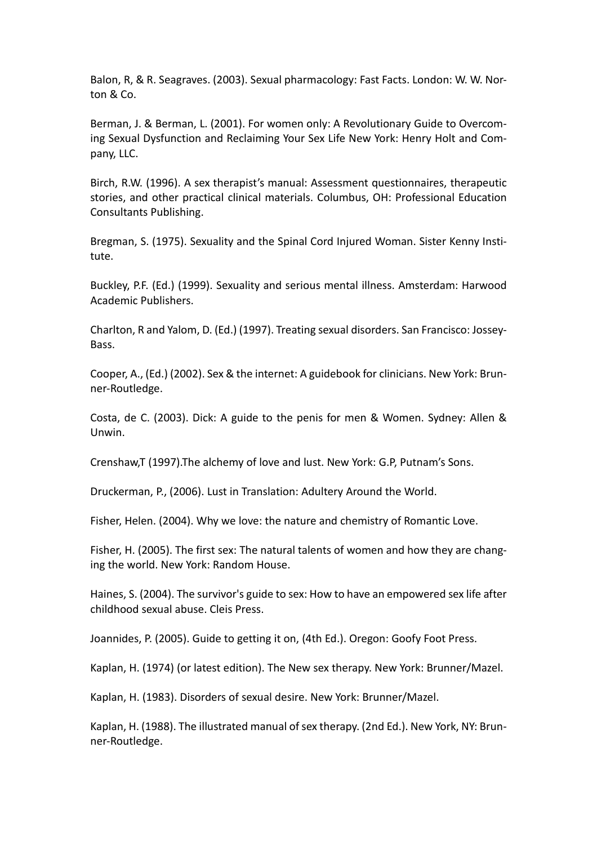Balon, R, & R. Seagraves. (2003). Sexual pharmacology: Fast Facts. London: W. W. Norton & Co.

Berman, J. & Berman, L. (2001). For women only: A Revolutionary Guide to Overcoming Sexual Dysfunction and Reclaiming Your Sex Life New York: Henry Holt and Company, LLC.

Birch, R.W. (1996). A sex therapist's manual: Assessment questionnaires, therapeutic stories, and other practical clinical materials. Columbus, OH: Professional Education Consultants Publishing.

Bregman, S. (1975). Sexuality and the Spinal Cord Injured Woman. Sister Kenny Institute.

Buckley, P.F. (Ed.) (1999). Sexuality and serious mental illness. Amsterdam: Harwood Academic Publishers.

Charlton, R and Yalom, D. (Ed.) (1997). Treating sexual disorders. San Francisco: Jossey-Bass.

Cooper, A., (Ed.) (2002). Sex & the internet: A guidebook for clinicians. New York: Brunner-Routledge.

Costa, de C. (2003). Dick: A guide to the penis for men & Women. Sydney: Allen & Unwin.

Crenshaw,T (1997).The alchemy of love and lust. New York: G.P, Putnam's Sons.

Druckerman, P., (2006). Lust in Translation: Adultery Around the World.

Fisher, Helen. (2004). Why we love: the nature and chemistry of Romantic Love.

Fisher, H. (2005). The first sex: The natural talents of women and how they are changing the world. New York: Random House.

Haines, S. (2004). The survivor's guide to sex: How to have an empowered sex life after childhood sexual abuse. Cleis Press.

Joannides, P. (2005). Guide to getting it on, (4th Ed.). Oregon: Goofy Foot Press.

Kaplan, H. (1974) (or latest edition). The New sex therapy. New York: Brunner/Mazel.

Kaplan, H. (1983). Disorders of sexual desire. New York: Brunner/Mazel.

Kaplan, H. (1988). The illustrated manual of sex therapy. (2nd Ed.). New York, NY: Brunner-Routledge.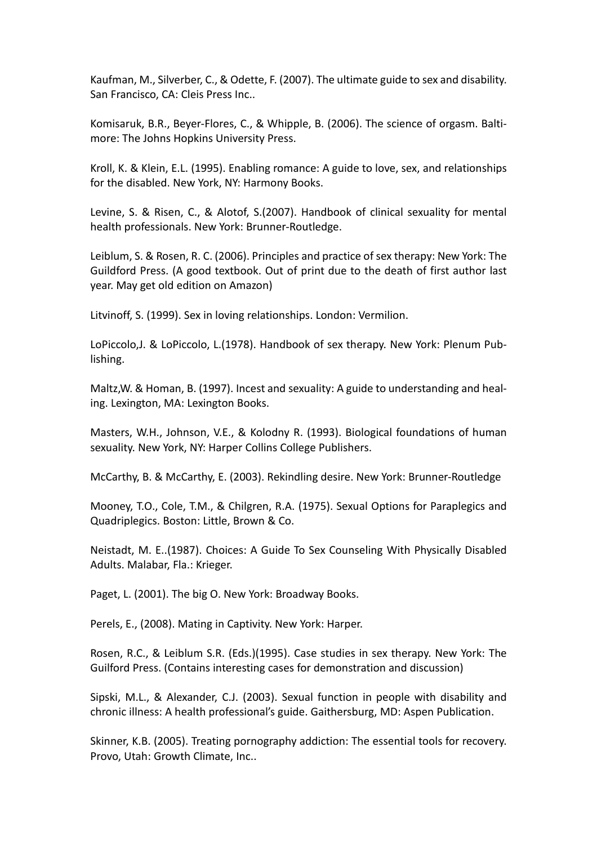Kaufman, M., Silverber, C., & Odette, F. (2007). The ultimate guide to sex and disability. San Francisco, CA: Cleis Press Inc..

Komisaruk, B.R., Beyer-Flores, C., & Whipple, B. (2006). The science of orgasm. Baltimore: The Johns Hopkins University Press.

Kroll, K. & Klein, E.L. (1995). Enabling romance: A guide to love, sex, and relationships for the disabled. New York, NY: Harmony Books.

Levine, S. & Risen, C., & Alotof, S.(2007). Handbook of clinical sexuality for mental health professionals. New York: Brunner-Routledge.

Leiblum, S. & Rosen, R. C. (2006). Principles and practice of sex therapy: New York: The Guildford Press. (A good textbook. Out of print due to the death of first author last year. May get old edition on Amazon)

Litvinoff, S. (1999). Sex in loving relationships. London: Vermilion.

LoPiccolo,J. & LoPiccolo, L.(1978). Handbook of sex therapy. New York: Plenum Publishing.

Maltz,W. & Homan, B. (1997). Incest and sexuality: A guide to understanding and healing. Lexington, MA: Lexington Books.

Masters, W.H., Johnson, V.E., & Kolodny R. (1993). Biological foundations of human sexuality. New York, NY: Harper Collins College Publishers.

McCarthy, B. & McCarthy, E. (2003). Rekindling desire. New York: Brunner-Routledge

Mooney, T.O., Cole, T.M., & Chilgren, R.A. (1975). Sexual Options for Paraplegics and Quadriplegics. Boston: Little, Brown & Co.

Neistadt, M. E..(1987). Choices: A Guide To Sex Counseling With Physically Disabled Adults. Malabar, Fla.: Krieger.

Paget, L. (2001). The big O. New York: Broadway Books.

Perels, E., (2008). Mating in Captivity. New York: Harper.

Rosen, R.C., & Leiblum S.R. (Eds.)(1995). Case studies in sex therapy. New York: The Guilford Press. (Contains interesting cases for demonstration and discussion)

Sipski, M.L., & Alexander, C.J. (2003). Sexual function in people with disability and chronic illness: A health professional's guide. Gaithersburg, MD: Aspen Publication.

Skinner, K.B. (2005). Treating pornography addiction: The essential tools for recovery. Provo, Utah: Growth Climate, Inc..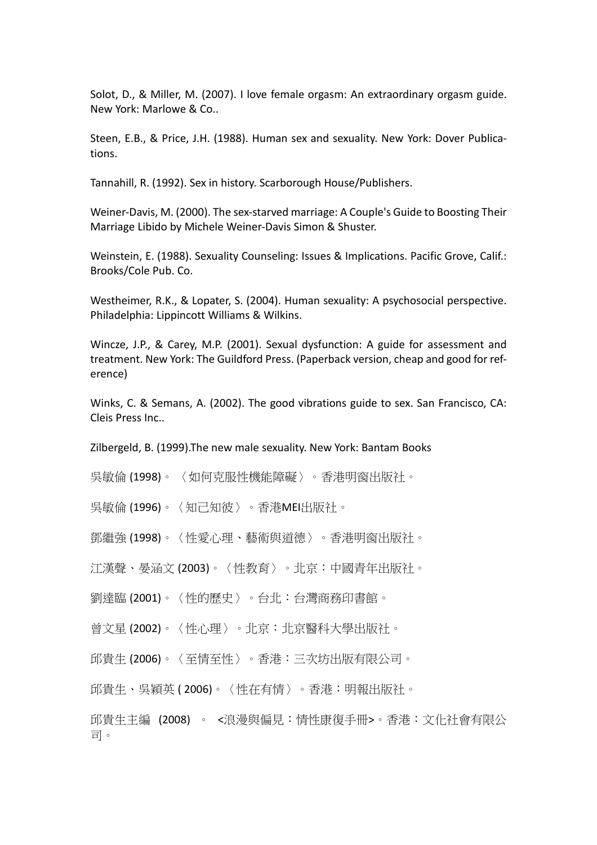Solot, D., & Miller, M. (2007). I love female orgasm: An extraordinary orgasm guide. New York: Marlowe & Co..

Steen, E.B., & Price, J.H. (1988). Human sex and sexuality. New York: Dover Publications.

Tannahill, R. (1992). Sex in history. Scarborough House/Publishers.

Weiner-Davis, M. (2000). The sex-starved marriage: A Couple's Guide to Boosting Their Marriage Libido by Michele Weiner-Davis Simon & Shuster.

Weinstein, E. (1988). Sexuality Counseling: Issues & Implications. Pacific Grove, Calif.: Brooks/Cole Pub. Co.

Westheimer, R.K., & Lopater, S. (2004). Human sexuality: A psychosocial perspective. Philadelphia: Lippincott Williams & Wilkins.

Wincze, J.P., & Carey, M.P. (2001). Sexual dysfunction: A guide for assessment and treatment. New York: The Guildford Press. (Paperback version, cheap and good for reference)

Winks, C. & Semans, A. (2002). The good vibrations guide to sex. San Francisco, CA: Cleis Press Inc..

Zilbergeld, B. (1999).The new male sexuality. New York: Bantam Books

吳敏倫 (1998)。 〈如何克服性機能障礙〉。香港明窗出版社。

吳敏倫 (1996)。〈知己知彼〉。香港MEI出版社。

鄧繼強 (1998)。〈性愛心理、藝術與道德〉。香港明窗出版社。

江漢聲、晏涵文 (2003)。〈性教育〉。北京:中國青年出版社。

劉達臨 (2001)。〈性的歷史〉。台北:台灣商務印書館。

曾文星 (2002)。〈性心理〉。北京:北京醫科大學出版社。

邱貴生 (2006)。〈至情至性〉。香港:三次坊出版有限公司。

邱貴生、吳穎英 ( 2006)。〈性在有情〉。香港:明報出版社。

邱貴生主編 (2008) 。 <浪漫與偏見:情性康復手冊>。香港:文化社會有限公 司。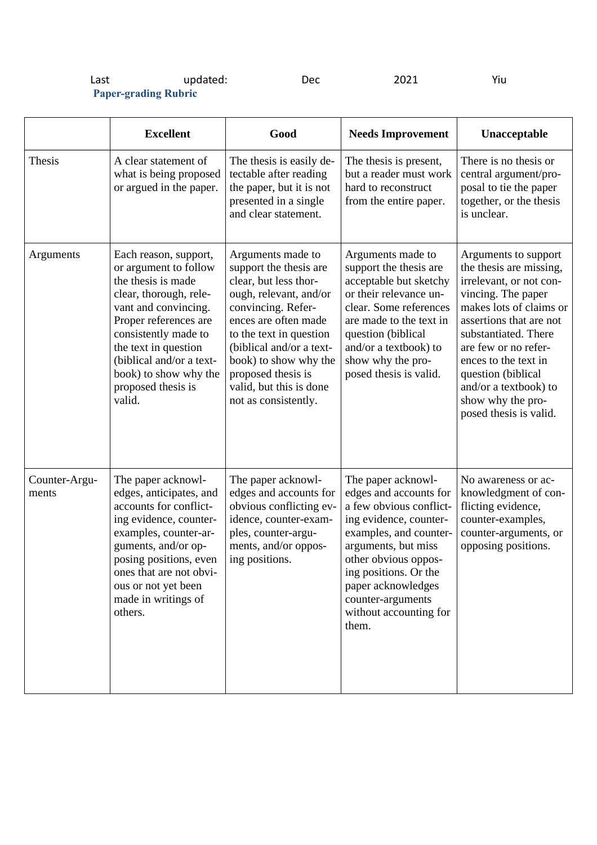| Last                        | updated: | Dec | 2021 | Yiu |
|-----------------------------|----------|-----|------|-----|
| <b>Paper-grading Rubric</b> |          |     |      |     |

|                        | <b>Excellent</b>                                                                                                                                                                                                                                                                     | Good                                                                                                                                                                                                                                                                                                  | <b>Needs Improvement</b>                                                                                                                                                                                                                                                          | Unacceptable                                                                                                                                                                                                                                                                                                                 |
|------------------------|--------------------------------------------------------------------------------------------------------------------------------------------------------------------------------------------------------------------------------------------------------------------------------------|-------------------------------------------------------------------------------------------------------------------------------------------------------------------------------------------------------------------------------------------------------------------------------------------------------|-----------------------------------------------------------------------------------------------------------------------------------------------------------------------------------------------------------------------------------------------------------------------------------|------------------------------------------------------------------------------------------------------------------------------------------------------------------------------------------------------------------------------------------------------------------------------------------------------------------------------|
| Thesis                 | A clear statement of<br>what is being proposed<br>or argued in the paper.                                                                                                                                                                                                            | The thesis is easily de-<br>tectable after reading<br>the paper, but it is not<br>presented in a single<br>and clear statement.                                                                                                                                                                       | The thesis is present,<br>but a reader must work<br>hard to reconstruct<br>from the entire paper.                                                                                                                                                                                 | There is no thesis or<br>central argument/pro-<br>posal to tie the paper<br>together, or the thesis<br>is unclear.                                                                                                                                                                                                           |
| Arguments              | Each reason, support,<br>or argument to follow<br>the thesis is made<br>clear, thorough, rele-<br>vant and convincing.<br>Proper references are<br>consistently made to<br>the text in question<br>(biblical and/or a text-<br>book) to show why the<br>proposed thesis is<br>valid. | Arguments made to<br>support the thesis are<br>clear, but less thor-<br>ough, relevant, and/or<br>convincing. Refer-<br>ences are often made<br>to the text in question<br>(biblical and/or a text-<br>book) to show why the<br>proposed thesis is<br>valid, but this is done<br>not as consistently. | Arguments made to<br>support the thesis are<br>acceptable but sketchy<br>or their relevance un-<br>clear. Some references<br>are made to the text in<br>question (biblical<br>and/or a textbook) to<br>show why the pro-<br>posed thesis is valid.                                | Arguments to support<br>the thesis are missing,<br>irrelevant, or not con-<br>vincing. The paper<br>makes lots of claims or<br>assertions that are not<br>substantiated. There<br>are few or no refer-<br>ences to the text in<br>question (biblical<br>and/or a textbook) to<br>show why the pro-<br>posed thesis is valid. |
| Counter-Argu-<br>ments | The paper acknowl-<br>edges, anticipates, and<br>accounts for conflict-<br>ing evidence, counter-<br>examples, counter-ar-<br>guments, and/or op-<br>posing positions, even<br>ones that are not obvi-<br>ous or not yet been<br>made in writings of<br>others.                      | The paper acknowl-<br>edges and accounts for<br>obvious conflicting ev-<br>idence, counter-exam-<br>ples, counter-argu-<br>ments, and/or oppos-<br>ing positions.                                                                                                                                     | The paper acknowl-<br>edges and accounts for<br>a few obvious conflict-<br>ing evidence, counter-<br>examples, and counter-<br>arguments, but miss<br>other obvious oppos-<br>ing positions. Or the<br>paper acknowledges<br>counter-arguments<br>without accounting for<br>them. | No awareness or ac-<br>knowledgment of con-<br>flicting evidence,<br>counter-examples,<br>counter-arguments, or<br>opposing positions.                                                                                                                                                                                       |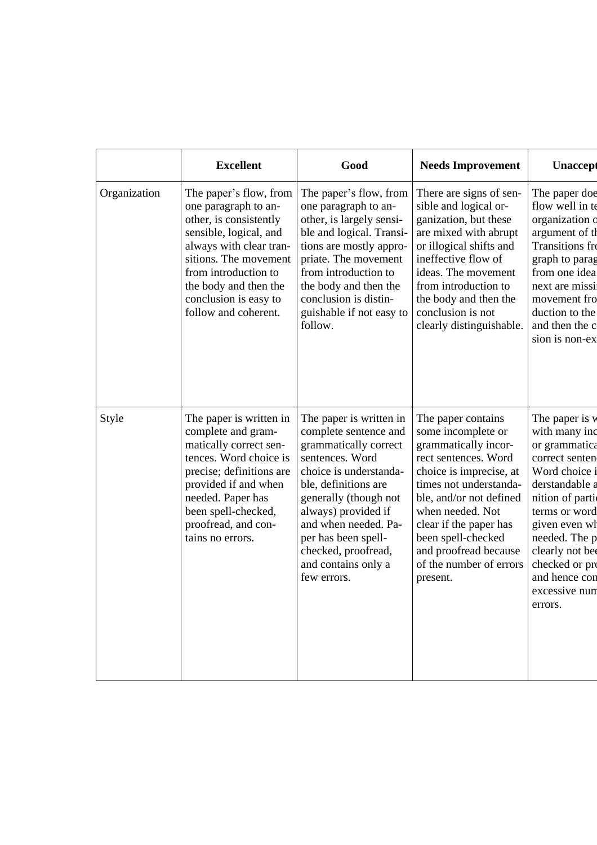|              | <b>Excellent</b>                                                                                                                                                                                                                                         | Good                                                                                                                                                                                                                                                                                                       | <b>Needs Improvement</b>                                                                                                                                                                                                                                                                                     | <b>Unaccept</b>                                                                                                                                                                                                                                               |
|--------------|----------------------------------------------------------------------------------------------------------------------------------------------------------------------------------------------------------------------------------------------------------|------------------------------------------------------------------------------------------------------------------------------------------------------------------------------------------------------------------------------------------------------------------------------------------------------------|--------------------------------------------------------------------------------------------------------------------------------------------------------------------------------------------------------------------------------------------------------------------------------------------------------------|---------------------------------------------------------------------------------------------------------------------------------------------------------------------------------------------------------------------------------------------------------------|
| Organization | The paper's flow, from<br>one paragraph to an-<br>other, is consistently<br>sensible, logical, and<br>always with clear tran-<br>sitions. The movement<br>from introduction to<br>the body and then the<br>conclusion is easy to<br>follow and coherent. | The paper's flow, from<br>one paragraph to an-<br>other, is largely sensi-<br>ble and logical. Transi-<br>tions are mostly appro-<br>priate. The movement<br>from introduction to<br>the body and then the<br>conclusion is distin-<br>guishable if not easy to<br>follow.                                 | There are signs of sen-<br>sible and logical or-<br>ganization, but these<br>are mixed with abrupt<br>or illogical shifts and<br>ineffective flow of<br>ideas. The movement<br>from introduction to<br>the body and then the<br>conclusion is not<br>clearly distinguishable.                                | The paper doe<br>flow well in te<br>organization o<br>argument of th<br><b>Transitions</b> fro<br>graph to parag<br>from one idea<br>next are missi<br>movement fro<br>duction to the<br>and then the c<br>sion is non-ex                                     |
| <b>Style</b> | The paper is written in<br>complete and gram-<br>matically correct sen-<br>tences. Word choice is<br>precise; definitions are<br>provided if and when<br>needed. Paper has<br>been spell-checked,<br>proofread, and con-<br>tains no errors.             | The paper is written in<br>complete sentence and<br>grammatically correct<br>sentences. Word<br>choice is understanda-<br>ble, definitions are<br>generally (though not<br>always) provided if<br>and when needed. Pa-<br>per has been spell-<br>checked, proofread,<br>and contains only a<br>few errors. | The paper contains<br>some incomplete or<br>grammatically incor-<br>rect sentences. Word<br>choice is imprecise, at<br>times not understanda-<br>ble, and/or not defined<br>when needed. Not<br>clear if the paper has<br>been spell-checked<br>and proofread because<br>of the number of errors<br>present. | The paper is v<br>with many inc<br>or grammatica<br>correct senten<br>Word choice i<br>derstandable a<br>nition of partic<br>terms or word<br>given even wh<br>needed. The p<br>clearly not be<br>checked or pro<br>and hence con<br>excessive nun<br>errors. |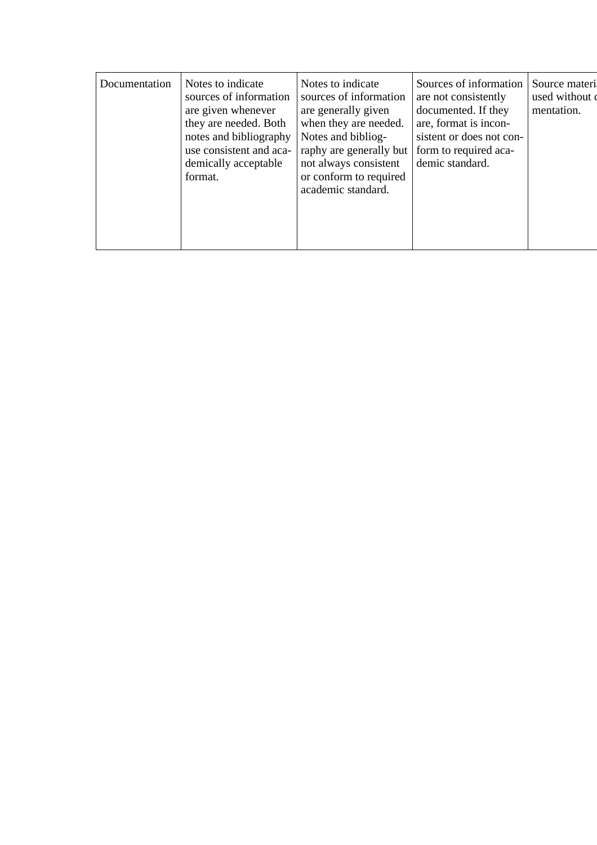| Documentation | Notes to indicate<br>sources of information<br>are given whenever<br>they are needed. Both<br>notes and bibliography<br>use consistent and aca-<br>demically acceptable<br>format. | Notes to indicate<br>sources of information<br>are generally given<br>when they are needed.<br>Notes and bibliog-<br>raphy are generally but<br>not always consistent<br>or conform to required<br>academic standard. | Sources of information<br>are not consistently<br>documented. If they<br>are, format is incon-<br>sistent or does not con-<br>form to required aca-<br>demic standard. | Source materi<br>used without of<br>mentation. |
|---------------|------------------------------------------------------------------------------------------------------------------------------------------------------------------------------------|-----------------------------------------------------------------------------------------------------------------------------------------------------------------------------------------------------------------------|------------------------------------------------------------------------------------------------------------------------------------------------------------------------|------------------------------------------------|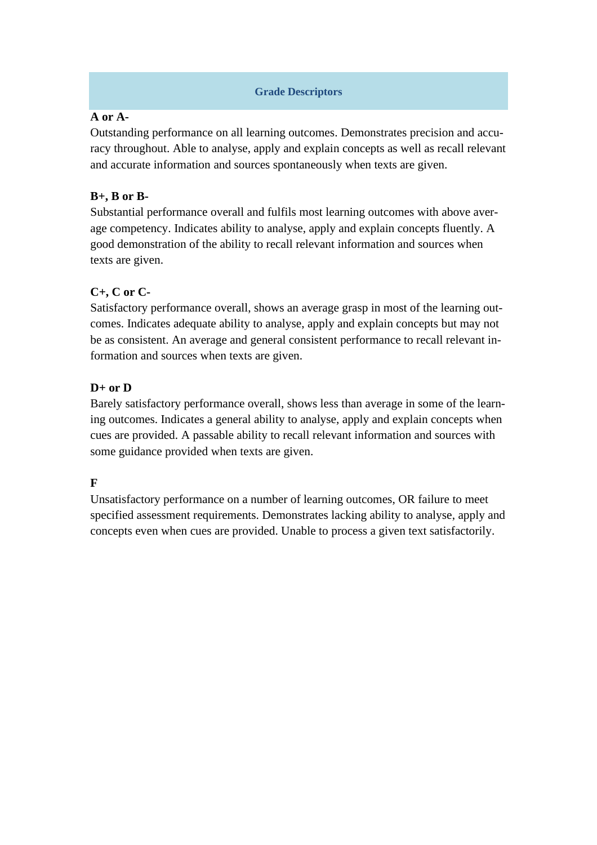### **Grade Descriptors**

### **A or A-**

Outstanding performance on all learning outcomes. Demonstrates precision and accuracy throughout. Able to analyse, apply and explain concepts as well as recall relevant and accurate information and sources spontaneously when texts are given.

### **B+, B or B-**

Substantial performance overall and fulfils most learning outcomes with above average competency. Indicates ability to analyse, apply and explain concepts fluently. A good demonstration of the ability to recall relevant information and sources when texts are given.

# **C+, C or C-**

Satisfactory performance overall, shows an average grasp in most of the learning outcomes. Indicates adequate ability to analyse, apply and explain concepts but may not be as consistent. An average and general consistent performance to recall relevant information and sources when texts are given.

# **D+ or D**

Barely satisfactory performance overall, shows less than average in some of the learning outcomes. Indicates a general ability to analyse, apply and explain concepts when cues are provided. A passable ability to recall relevant information and sources with some guidance provided when texts are given.

# **F**

Unsatisfactory performance on a number of learning outcomes, OR failure to meet specified assessment requirements. Demonstrates lacking ability to analyse, apply and concepts even when cues are provided. Unable to process a given text satisfactorily.